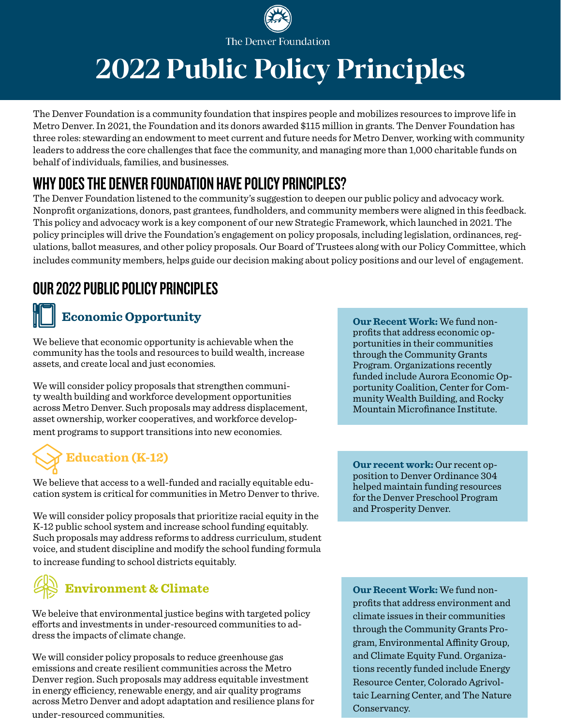

# 2022 Public Policy Principles

The Denver Foundation is a community foundation that inspires people and mobilizes resources to improve life in Metro Denver. In 2021, the Foundation and its donors awarded \$115 million in grants. The Denver Foundation has three roles: stewarding an endowment to meet current and future needs for Metro Denver, working with community leaders to address the core challenges that face the community, and managing more than 1,000 charitable funds on behalf of individuals, families, and businesses.

### WHY DOES THE DENVER FOUNDATION HAVE POLICY PRINCIPLES?

The Denver Foundation listened to the community's suggestion to deepen our public policy and advocacy work. Nonprofit organizations, donors, past grantees, fundholders, and community members were aligned in this feedback. This policy and advocacy work is a key component of our new Strategic Framework, which launched in 2021. The policy principles will drive the Foundation's engagement on policy proposals, including legislation, ordinances, regulations, ballot measures, and other policy proposals. Our Board of Trustees along with our Policy Committee, which includes community members, helps guide our decision making about policy positions and our level of engagement.

## OUR 2022 PUBLIC POLICY PRINCIPLES

#### **Economic Opportunity**

We believe that economic opportunity is achievable when the community has the tools and resources to build wealth, increase assets, and create local and just economies.

We will consider policy proposals that strengthen community wealth building and workforce development opportunities across Metro Denver. Such proposals may address displacement, asset ownership, worker cooperatives, and workforce development programs to support transitions into new economies.

# **Education (K-12)**

We believe that access to a well-funded and racially equitable education system is critical for communities in Metro Denver to thrive.

We will consider policy proposals that prioritize racial equity in the K-12 public school system and increase school funding equitably. Such proposals may address reforms to address curriculum, student voice, and student discipline and modify the school funding formula to increase funding to school districts equitably.



We beleive that environmental justice begins with targeted policy efforts and investments in under-resourced communities to address the impacts of climate change.

We will consider policy proposals to reduce greenhouse gas emissions and create resilient communities across the Metro Denver region. Such proposals may address equitable investment in energy efficiency, renewable energy, and air quality programs across Metro Denver and adopt adaptation and resilience plans for under-resourced communities.

**Our Recent Work:** We fund nonprofits that address economic opportunities in their communities through the Community Grants Program. Organizations recently funded include Aurora Economic Opportunity Coalition, Center for Community Wealth Building, and Rocky Mountain Microfinance Institute.

**Our recent work:** Our recent opposition to Denver Ordinance 304 helped maintain funding resources for the Denver Preschool Program and Prosperity Denver.

**Our Recent Work:** We fund nonprofits that address environment and climate issues in their communities through the Community Grants Program, Environmental Affinity Group, and Climate Equity Fund. Organizations recently funded include Energy Resource Center, Colorado Agrivoltaic Learning Center, and The Nature Conservancy.